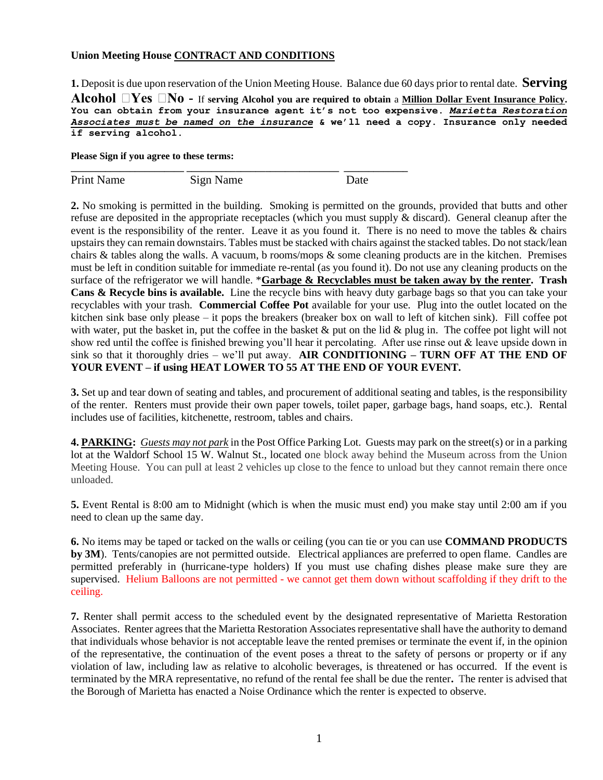## **Union Meeting House CONTRACT AND CONDITIONS**

**1.** Deposit is due upon reservation of the Union Meeting House. Balance due 60 days prior to rental date. **Serving Alcohol**  $\Box$ **Yes**  $\Box$ **No** - If serving Alcohol you are required to obtain a <u>Million Dollar Event Insurance Policy</u>. **You can obtain from your insurance agent it's not too expensive.** *Marietta Restoration Associates must be named on the insurance* **& we'll need a copy. Insurance only needed if serving alcohol.**

## **Please Sign if you agree to these terms:**

Print Name Sign Name Date

**\_\_\_\_\_\_\_\_\_\_\_\_\_\_\_\_\_\_\_\_\_\_\_ \_\_\_\_\_\_\_\_\_\_\_\_\_\_\_\_\_\_\_\_\_\_\_\_\_\_\_\_\_\_\_ \_\_\_\_\_\_\_\_\_\_\_\_\_**

**2.** No smoking is permitted in the building. Smoking is permitted on the grounds, provided that butts and other refuse are deposited in the appropriate receptacles (which you must supply  $\&$  discard). General cleanup after the event is the responsibility of the renter. Leave it as you found it. There is no need to move the tables & chairs upstairs they can remain downstairs. Tables must be stacked with chairs against the stacked tables. Do not stack/lean chairs & tables along the walls. A vacuum, b rooms/mops & some cleaning products are in the kitchen. Premises must be left in condition suitable for immediate re-rental (as you found it). Do not use any cleaning products on the surface of the refrigerator we will handle. \***Garbage & Recyclables must be taken away by the renter. Trash Cans & Recycle bins is available.** Line the recycle bins with heavy duty garbage bags so that you can take your recyclables with your trash. **Commercial Coffee Pot** available for your use. Plug into the outlet located on the kitchen sink base only please – it pops the breakers (breaker box on wall to left of kitchen sink). Fill coffee pot with water, put the basket in, put the coffee in the basket  $\&$  put on the lid  $\&$  plug in. The coffee pot light will not show red until the coffee is finished brewing you'll hear it percolating. After use rinse out & leave upside down in sink so that it thoroughly dries – we'll put away. **AIR CONDITIONING – TURN OFF AT THE END OF YOUR EVENT – if using HEAT LOWER TO 55 AT THE END OF YOUR EVENT.**

**3.** Set up and tear down of seating and tables, and procurement of additional seating and tables, is the responsibility of the renter. Renters must provide their own paper towels, toilet paper, garbage bags, hand soaps, etc.). Rental includes use of facilities, kitchenette, restroom, tables and chairs.

**4. PARKING:** *Guests may not park* in the Post Office Parking Lot. Guests may park on the street(s) or in a parking lot at the Waldorf School 15 W. Walnut St., located one block away behind the Museum across from the Union Meeting House. You can pull at least 2 vehicles up close to the fence to unload but they cannot remain there once unloaded.

**5.** Event Rental is 8:00 am to Midnight (which is when the music must end) you make stay until 2:00 am if you need to clean up the same day.

**6.** No items may be taped or tacked on the walls or ceiling (you can tie or you can use **COMMAND PRODUCTS by 3M**). Tents/canopies are not permitted outside. Electrical appliances are preferred to open flame. Candles are permitted preferably in (hurricane-type holders) If you must use chafing dishes please make sure they are supervised. Helium Balloons are not permitted - we cannot get them down without scaffolding if they drift to the ceiling.

**7.** Renter shall permit access to the scheduled event by the designated representative of Marietta Restoration Associates. Renter agrees that the Marietta Restoration Associates representative shall have the authority to demand that individuals whose behavior is not acceptable leave the rented premises or terminate the event if, in the opinion of the representative, the continuation of the event poses a threat to the safety of persons or property or if any violation of law, including law as relative to alcoholic beverages, is threatened or has occurred. If the event is terminated by the MRA representative, no refund of the rental fee shall be due the renter**.** The renter is advised that the Borough of Marietta has enacted a Noise Ordinance which the renter is expected to observe.